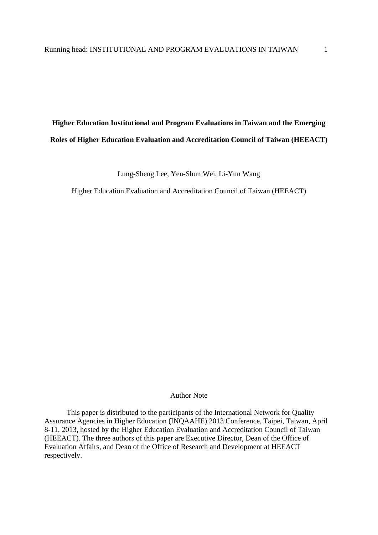# **Higher Education Institutional and Program Evaluations in Taiwan and the Emerging Roles of Higher Education Evaluation and Accreditation Council of Taiwan (HEEACT)**

Lung-Sheng Lee, Yen-Shun Wei, Li-Yun Wang

Higher Education Evaluation and Accreditation Council of Taiwan (HEEACT)

## Author Note

This paper is distributed to the participants of the International Network for Quality Assurance Agencies in Higher Education (INQAAHE) 2013 Conference, Taipei, Taiwan, April 8-11, 2013, hosted by the Higher Education Evaluation and Accreditation Council of Taiwan (HEEACT). The three authors of this paper are Executive Director, Dean of the Office of Evaluation Affairs, and Dean of the Office of Research and Development at HEEACT respectively.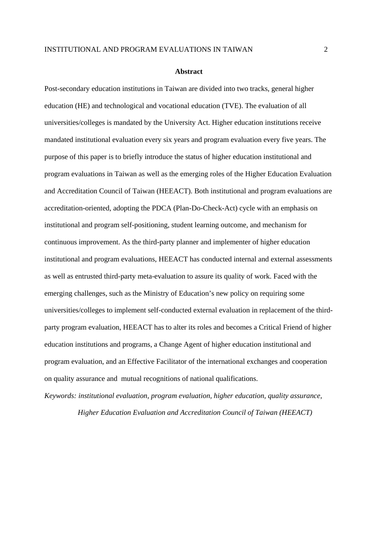#### **Abstract**

Post-secondary education institutions in Taiwan are divided into two tracks, general higher education (HE) and technological and vocational education (TVE). The evaluation of all universities/colleges is mandated by the University Act. Higher education institutions receive mandated institutional evaluation every six years and program evaluation every five years. The purpose of this paper is to briefly introduce the status of higher education institutional and program evaluations in Taiwan as well as the emerging roles of the Higher Education Evaluation and Accreditation Council of Taiwan (HEEACT). Both institutional and program evaluations are accreditation-oriented, adopting the PDCA (Plan-Do-Check-Act) cycle with an emphasis on institutional and program self-positioning, student learning outcome, and mechanism for continuous improvement. As the third-party planner and implementer of higher education institutional and program evaluations, HEEACT has conducted internal and external assessments as well as entrusted third-party meta-evaluation to assure its quality of work. Faced with the emerging challenges, such as the Ministry of Education's new policy on requiring some universities/colleges to implement self-conducted external evaluation in replacement of the thirdparty program evaluation, HEEACT has to alter its roles and becomes a Critical Friend of higher education institutions and programs, a Change Agent of higher education institutional and program evaluation, and an Effective Facilitator of the international exchanges and cooperation on quality assurance and mutual recognitions of national qualifications.

*Keywords: institutional evaluation, program evaluation, higher education, quality assurance,* 

*Higher Education Evaluation and Accreditation Council of Taiwan (HEEACT)*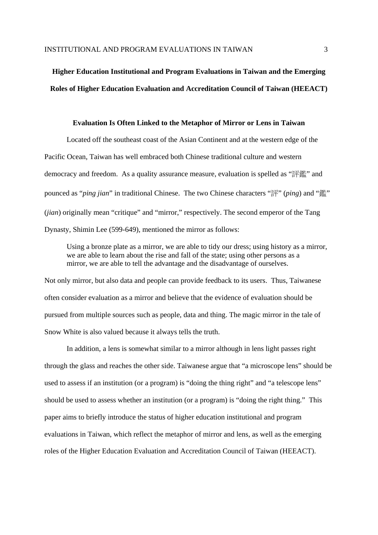# **Higher Education Institutional and Program Evaluations in Taiwan and the Emerging Roles of Higher Education Evaluation and Accreditation Council of Taiwan (HEEACT)**

### **Evaluation Is Often Linked to the Metaphor of Mirror or Lens in Taiwan**

Located off the southeast coast of the Asian Continent and at the western edge of the Pacific Ocean, Taiwan has well embraced both Chinese traditional culture and western democracy and freedom. As a quality assurance measure, evaluation is spelled as "評鑑" and pounced as "*ping jian*" in traditional Chinese. The two Chinese characters "評" (*ping*) and "鑑" (*jian*) originally mean "critique" and "mirror," respectively. The second emperor of the Tang Dynasty, Shimin Lee (599-649), mentioned the mirror as follows:

Using a bronze plate as a mirror, we are able to tidy our dress; using history as a mirror, we are able to learn about the rise and fall of the state; using other persons as a mirror, we are able to tell the advantage and the disadvantage of ourselves.

Not only mirror, but also data and people can provide feedback to its users. Thus, Taiwanese often consider evaluation as a mirror and believe that the evidence of evaluation should be pursued from multiple sources such as people, data and thing. The magic mirror in the tale of Snow White is also valued because it always tells the truth.

In addition, a lens is somewhat similar to a mirror although in lens light passes right through the glass and reaches the other side. Taiwanese argue that "a microscope lens" should be used to assess if an institution (or a program) is "doing the thing right" and "a telescope lens" should be used to assess whether an institution (or a program) is "doing the right thing." This paper aims to briefly introduce the status of higher education institutional and program evaluations in Taiwan, which reflect the metaphor of mirror and lens, as well as the emerging roles of the Higher Education Evaluation and Accreditation Council of Taiwan (HEEACT).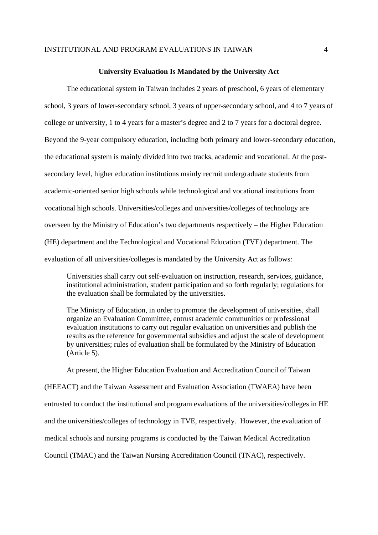#### **University Evaluation Is Mandated by the University Act**

The educational system in Taiwan includes 2 years of preschool, 6 years of elementary school, 3 years of lower-secondary school, 3 years of upper-secondary school, and 4 to 7 years of college or university, 1 to 4 years for a master's degree and 2 to 7 years for a doctoral degree. Beyond the 9-year compulsory education, including both primary and lower-secondary education, the educational system is mainly divided into two tracks, academic and vocational. At the postsecondary level, higher education institutions mainly recruit undergraduate students from academic-oriented senior high schools while technological and vocational institutions from vocational high schools. Universities/colleges and universities/colleges of technology are overseen by the Ministry of Education's two departments respectively – the Higher Education (HE) department and the Technological and Vocational Education (TVE) department. The evaluation of all universities/colleges is mandated by the University Act as follows:

Universities shall carry out self-evaluation on instruction, research, services, guidance, institutional administration, student participation and so forth regularly; regulations for the evaluation shall be formulated by the universities.

The Ministry of Education, in order to promote the development of universities, shall organize an Evaluation Committee, entrust academic communities or professional evaluation institutions to carry out regular evaluation on universities and publish the results as the reference for governmental subsidies and adjust the scale of development by universities; rules of evaluation shall be formulated by the Ministry of Education (Article 5).

At present, the Higher Education Evaluation and Accreditation Council of Taiwan (HEEACT) and the Taiwan Assessment and Evaluation Association (TWAEA) have been entrusted to conduct the institutional and program evaluations of the universities/colleges in HE and the universities/colleges of technology in TVE, respectively. However, the evaluation of medical schools and nursing programs is conducted by the Taiwan Medical Accreditation Council (TMAC) and the Taiwan Nursing Accreditation Council (TNAC), respectively.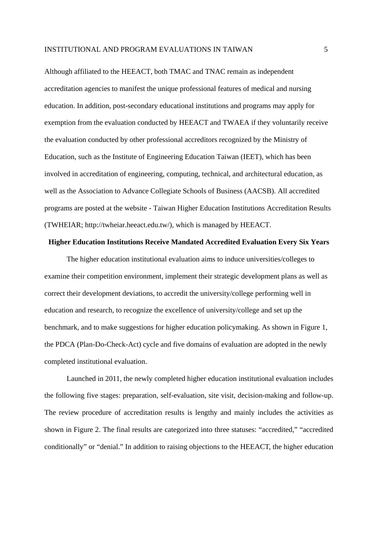Although affiliated to the HEEACT, both TMAC and TNAC remain as independent accreditation agencies to manifest the unique professional features of medical and nursing education. In addition, post-secondary educational institutions and programs may apply for exemption from the evaluation conducted by HEEACT and TWAEA if they voluntarily receive the evaluation conducted by other professional accreditors recognized by the Ministry of Education, such as the Institute of Engineering Education Taiwan (IEET), which has been involved in accreditation of engineering, computing, technical, and architectural education, as well as the Association to Advance Collegiate Schools of Business (AACSB). All accredited programs are posted at the website - Taiwan Higher Education Institutions Accreditation Results (TWHEIAR; http://twheiar.heeact.edu.tw/), which is managed by HEEACT.

## **Higher Education Institutions Receive Mandated Accredited Evaluation Every Six Years**

The higher education institutional evaluation aims to induce universities/colleges to examine their competition environment, implement their strategic development plans as well as correct their development deviations, to accredit the university/college performing well in education and research, to recognize the excellence of university/college and set up the benchmark, and to make suggestions for higher education policymaking. As shown in Figure 1, the PDCA (Plan-Do-Check-Act) cycle and five domains of evaluation are adopted in the newly completed institutional evaluation.

Launched in 2011, the newly completed higher education institutional evaluation includes the following five stages: preparation, self-evaluation, site visit, decision-making and follow-up. The review procedure of accreditation results is lengthy and mainly includes the activities as shown in Figure 2. The final results are categorized into three statuses: "accredited," "accredited conditionally" or "denial." In addition to raising objections to the HEEACT, the higher education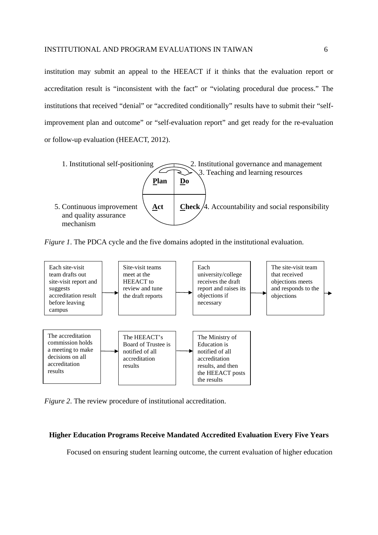institution may submit an appeal to the HEEACT if it thinks that the evaluation report or accreditation result is "inconsistent with the fact" or "violating procedural due process." The institutions that received "denial" or "accredited conditionally" results have to submit their "selfimprovement plan and outcome" or "self-evaluation report" and get ready for the re-evaluation or follow-up evaluation (HEEACT, 2012).



*Figure 1*. The PDCA cycle and the five domains adopted in the institutional evaluation.



*Figure 2*. The review procedure of institutional accreditation.

#### **Higher Education Programs Receive Mandated Accredited Evaluation Every Five Years**

Focused on ensuring student learning outcome, the current evaluation of higher education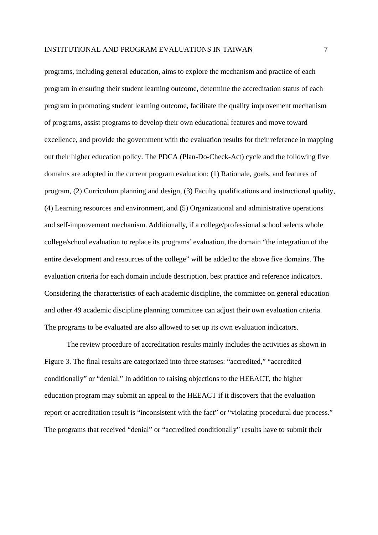programs, including general education, aims to explore the mechanism and practice of each program in ensuring their student learning outcome, determine the accreditation status of each program in promoting student learning outcome, facilitate the quality improvement mechanism of programs, assist programs to develop their own educational features and move toward excellence, and provide the government with the evaluation results for their reference in mapping out their higher education policy. The PDCA (Plan-Do-Check-Act) cycle and the following five domains are adopted in the current program evaluation: (1) Rationale, goals, and features of program, (2) Curriculum planning and design, (3) Faculty qualifications and instructional quality, (4) Learning resources and environment, and (5) Organizational and administrative operations and self-improvement mechanism. Additionally, if a college/professional school selects whole college/school evaluation to replace its programs' evaluation, the domain "the integration of the entire development and resources of the college" will be added to the above five domains. The evaluation criteria for each domain include description, best practice and reference indicators. Considering the characteristics of each academic discipline, the committee on general education and other 49 academic discipline planning committee can adjust their own evaluation criteria. The programs to be evaluated are also allowed to set up its own evaluation indicators.

The review procedure of accreditation results mainly includes the activities as shown in Figure 3. The final results are categorized into three statuses: "accredited," "accredited conditionally" or "denial." In addition to raising objections to the HEEACT, the higher education program may submit an appeal to the HEEACT if it discovers that the evaluation report or accreditation result is "inconsistent with the fact" or "violating procedural due process." The programs that received "denial" or "accredited conditionally" results have to submit their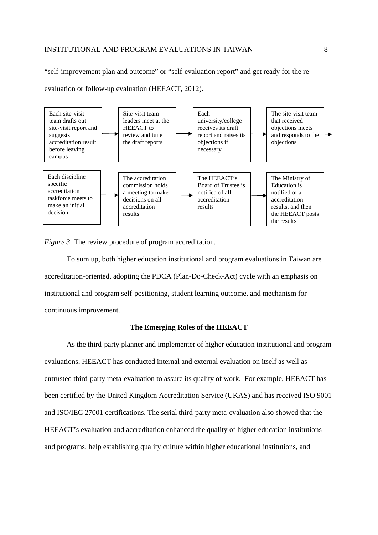"self-improvement plan and outcome" or "self-evaluation report" and get ready for the re-

evaluation or follow-up evaluation (HEEACT, 2012).



*Figure 3*. The review procedure of program accreditation.

 To sum up, both higher education institutional and program evaluations in Taiwan are accreditation-oriented, adopting the PDCA (Plan-Do-Check-Act) cycle with an emphasis on institutional and program self-positioning, student learning outcome, and mechanism for continuous improvement.

## **The Emerging Roles of the HEEACT**

As the third-party planner and implementer of higher education institutional and program evaluations, HEEACT has conducted internal and external evaluation on itself as well as entrusted third-party meta-evaluation to assure its quality of work. For example, HEEACT has been certified by the United Kingdom Accreditation Service (UKAS) and has received ISO 9001 and ISO/IEC 27001 certifications. The serial third-party meta-evaluation also showed that the HEEACT's evaluation and accreditation enhanced the quality of higher education institutions and programs, help establishing quality culture within higher educational institutions, and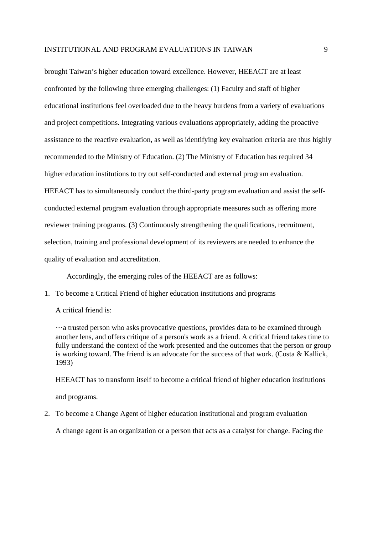brought Taiwan's higher education toward excellence. However, HEEACT are at least confronted by the following three emerging challenges: (1) Faculty and staff of higher educational institutions feel overloaded due to the heavy burdens from a variety of evaluations and project competitions. Integrating various evaluations appropriately, adding the proactive assistance to the reactive evaluation, as well as identifying key evaluation criteria are thus highly recommended to the Ministry of Education. (2) The Ministry of Education has required 34 higher education institutions to try out self-conducted and external program evaluation. HEEACT has to simultaneously conduct the third-party program evaluation and assist the selfconducted external program evaluation through appropriate measures such as offering more reviewer training programs. (3) Continuously strengthening the qualifications, recruitment, selection, training and professional development of its reviewers are needed to enhance the quality of evaluation and accreditation.

Accordingly, the emerging roles of the HEEACT are as follows:

1. To become a Critical Friend of higher education institutions and programs

A critical friend is:

…a trusted person who asks provocative questions, provides data to be examined through another lens, and offers critique of a person's work as a friend. A critical friend takes time to fully understand the context of the work presented and the outcomes that the person or group is working toward. The friend is an advocate for the success of that work. (Costa & Kallick, 1993)

HEEACT has to transform itself to become a critical friend of higher education institutions

and programs.

2. To become a Change Agent of higher education institutional and program evaluation

A change agent is an organization or a person that acts as a catalyst for change. Facing the